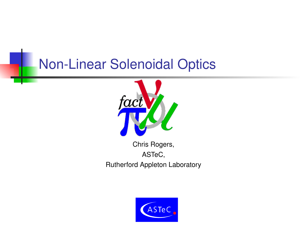#### **Non-Linear Solenoidal Optics**



Chris Rogers, ASTeC, Rutherford Appleton Laboratory

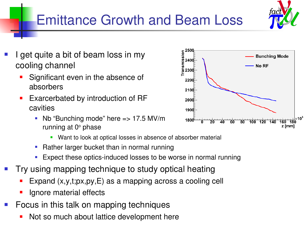## Emittance Growth and Beam Loss

- I get quite a bit of beam loss in my cooling channel
	- Significant even in the absence of absorbers
	- Exarcerbated by introduction of RF cavities
		- No "Bunching mode" here  $\Rightarrow$  17.5 MV/m running at 0° phase
			- **Want to look at optical losses in absence of absorber material**
		- Rather larger bucket than in normal running
		- **Expect these optics-induced losses to be worse in normal running**
- Try using mapping technique to study optical heating
	- Expand (x,y,t;px,py,E) as a mapping across a cooling cell
	- Ignore material effects
- Focus in this talk on mapping techniques
	- Not so much about lattice development here



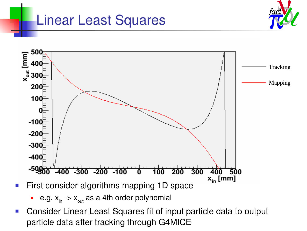#### Linear Least Squares





- e.g.  $x_{in}$  ->  $x_{out}$  as a 4th order polynomial
- Consider Linear Least Squares fit of input particle data to output particle data after tracking through G4MICE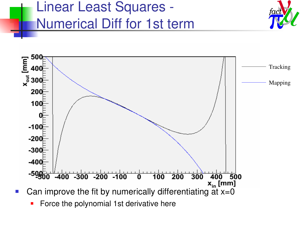





Force the polynomial 1st derivative here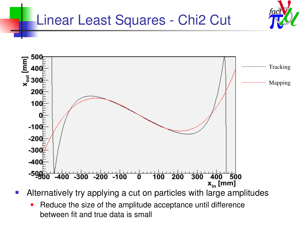#### Linear Least Squares - Chi2 Cut



- Alternatively try applying a cut on particles with large amplitudes
	- **-** Reduce the size of the amplitude acceptance until difference between fit and true data is small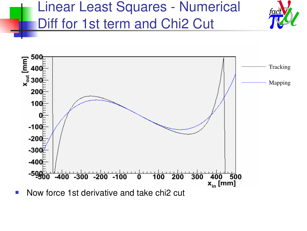## Linear Least Squares - Numerical Diff for 1st term and Chi2 Cut

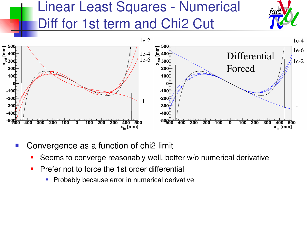

- Convergence as a function of chi2 limit
	- Seems to converge reasonably well, better w/o numerical derivative
	- **Prefer not to force the 1st order differential** 
		- **Probably because error in numerical derivative**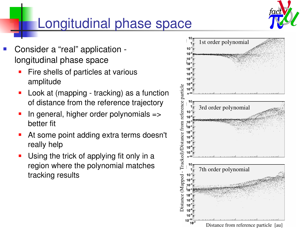

## Longitudinal phase space

- Consider a "real" application longitudinal phase space
	- Fire shells of particles at various amplitude
	- Look at (mapping tracking) as a function of distance from the reference trajectory
	- In general, higher order polynomials => better fit
	- At some point adding extra terms doesn't really help
	- Using the trick of applying fit only in a region where the polynomial matches tracking results

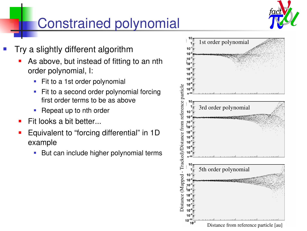

# Constrained polynomial

- Try a slightly different algorithm
	- As above, but instead of fitting to an nth order polynomial, I:
		- **Fit to a 1st order polynomial**
		- Fit to a second order polynomial forcing first order terms to be as above
		- Repeat up to nth order
	- Fit looks a bit better...
	- Equivalent to "forcing differential" in 1D example
		- **But can include higher polynomial terms**

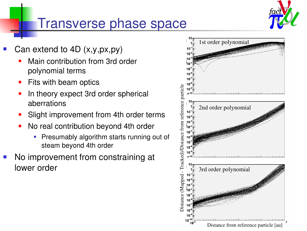

#### Transverse phase space

- Can extend to 4D (x,y,px,py)
	- Main contribution from 3rd order polynomial terms
	- **Fits with beam optics**
	- In theory expect 3rd order spherical aberrations
	- Slight improvement from 4th order terms
	- No real contribution beyond 4th order
		- **Presumably algorithm starts running out of** steam beyond 4th order
- No improvement from constraining at lower order

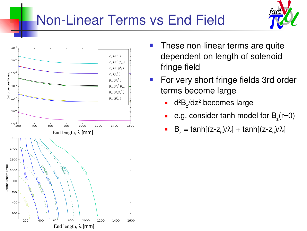# **Non-Linear Terms vs End Field**





- These non-linear terms are quite dependent on length of solenoid fringe field
- **For very short fringe fields 3rd order** terms become large
	- $\blacksquare$  d<sup>2</sup>B<sub>z</sub>/dz<sup>2</sup> becomes large
	- **e**.g. consider tanh model for  $B_z(r=0)$
	- **B**<sub>z</sub> = tanh[(z-z<sub>0</sub>)/ $\lambda$ ] + tanh[(z-z<sub>0</sub>)/ $\lambda$ ]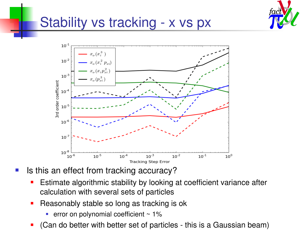

### Stability vs tracking - x vs px



Is this an effect from tracking accuracy?

- Estimate algorithmic stability by looking at coefficient variance after calculation with several sets of particles
- **Reasonably stable so long as tracking is ok** 
	- **error on polynomial coefficient**  $\sim$  **1%**
- (Can do better with better set of particles this is a Gaussian beam)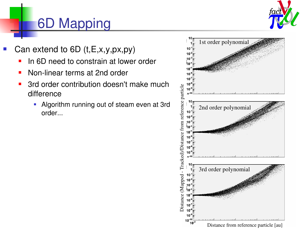

## 6D Mapping

- Can extend to 6D (t,E,x,y,px,py)
	- In 6D need to constrain at lower order
	- Non-linear terms at 2nd order
	- 3rd order contribution doesn't make much difference
		- **-** Algorithm running out of steam even at 3rd order...

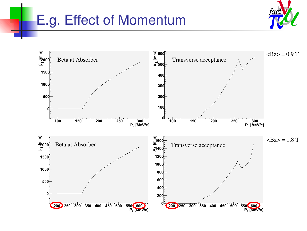### E.g. Effect of Momentum



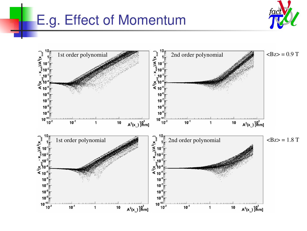### E.g. Effect of Momentum